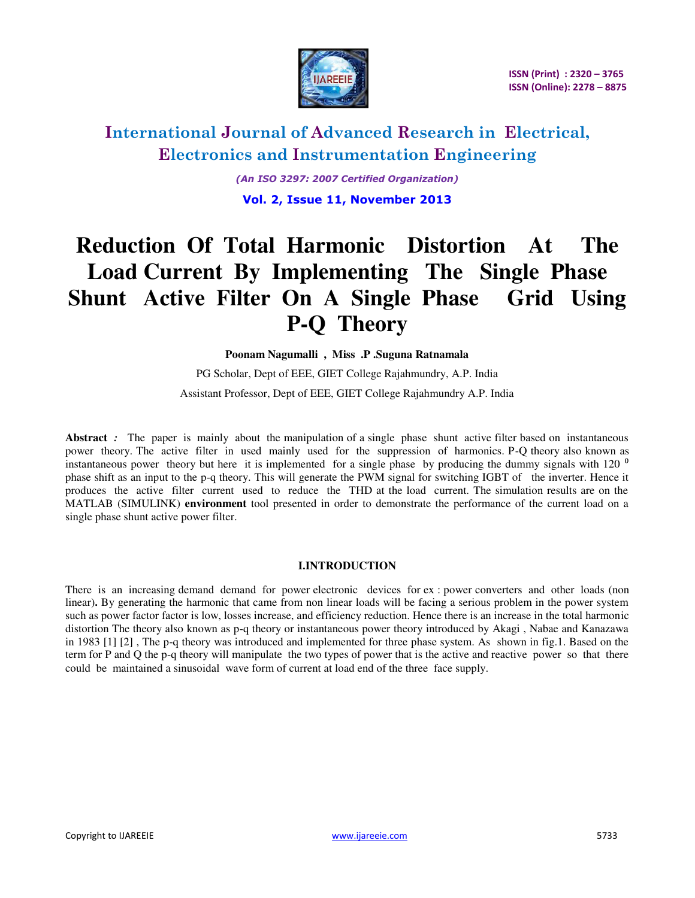

*(An ISO 3297: 2007 Certified Organization)*  **Vol. 2, Issue 11, November 2013** 

# **Reduction Of Total Harmonic Distortion At The Load Current By Implementing The Single Phase Shunt Active Filter On A Single Phase Grid Using P-Q Theory**

**Poonam Nagumalli , Miss .P .Suguna Ratnamala** 

PG Scholar, Dept of EEE, GIET College Rajahmundry, A.P. India Assistant Professor, Dept of EEE, GIET College Rajahmundry A.P. India

Abstract : The paper is mainly about the manipulation of a single phase shunt active filter based on instantaneous power theory. The active filter in used mainly used for the suppression of harmonics. P-Q theory also known as instantaneous power theory but here it is implemented for a single phase by producing the dummy signals with 120  $^{\circ}$ phase shift as an input to the p-q theory. This will generate the PWM signal for switching IGBT of the inverter. Hence it produces the active filter current used to reduce the THD at the load current. The simulation results are on the MATLAB (SIMULINK) **environment** tool presented in order to demonstrate the performance of the current load on a single phase shunt active power filter.

### **I.INTRODUCTION**

There is an increasing demand demand for power electronic devices for ex : power converters and other loads (non linear)**.** By generating the harmonic that came from non linear loads will be facing a serious problem in the power system such as power factor factor is low, losses increase, and efficiency reduction. Hence there is an increase in the total harmonic distortion The theory also known as p-q theory or instantaneous power theory introduced by Akagi , Nabae and Kanazawa in 1983 [1] [2] , The p-q theory was introduced and implemented for three phase system. As shown in fig.1. Based on the term for P and Q the p-q theory will manipulate the two types of power that is the active and reactive power so that there could be maintained a sinusoidal wave form of current at load end of the three face supply.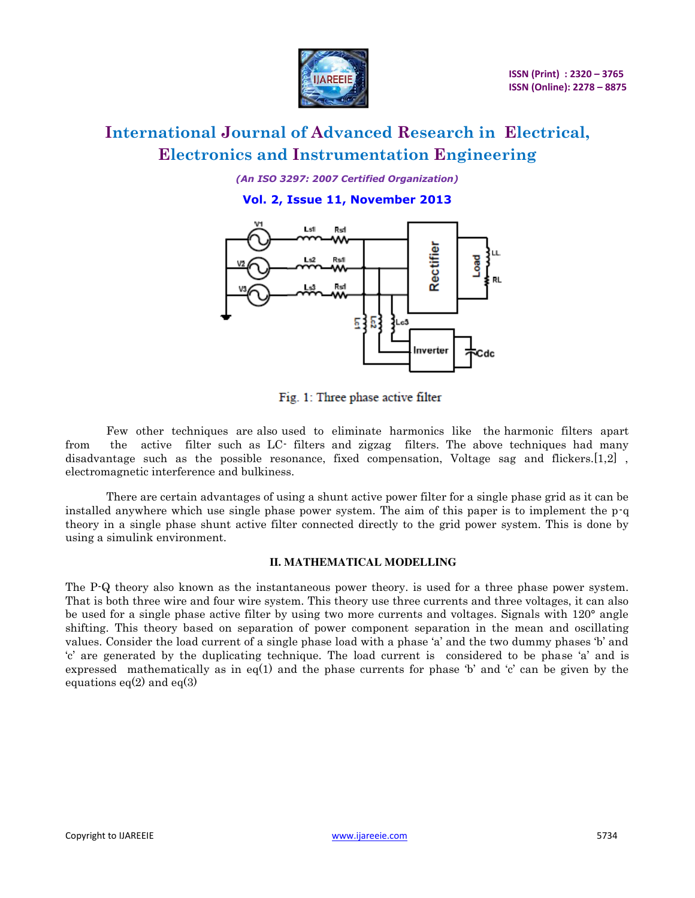

*(An ISO 3297: 2007 Certified Organization)* 

**Vol. 2, Issue 11, November 2013** 



Fig. 1: Three phase active filter

Few other techniques are also used to eliminate harmonics like the harmonic filters apart from the active filter such as LC- filters and zigzag filters. The above techniques had many disadvantage such as the possible resonance, fixed compensation, Voltage sag and flickers.[1,2] , electromagnetic interference and bulkiness.

There are certain advantages of using a shunt active power filter for a single phase grid as it can be installed anywhere which use single phase power system. The aim of this paper is to implement the p-q theory in a single phase shunt active filter connected directly to the grid power system. This is done by using a simulink environment.

#### **II. MATHEMATICAL MODELLING**

The P-Q theory also known as the instantaneous power theory. is used for a three phase power system. That is both three wire and four wire system. This theory use three currents and three voltages, it can also be used for a single phase active filter by using two more currents and voltages. Signals with 120° angle shifting. This theory based on separation of power component separation in the mean and oscillating values. Consider the load current of a single phase load with a phase 'a' and the two dummy phases 'b' and 'c' are generated by the duplicating technique. The load current is considered to be phase 'a' and is expressed mathematically as in eq(1) and the phase currents for phase 'b' and 'c' can be given by the equations  $eq(2)$  and  $eq(3)$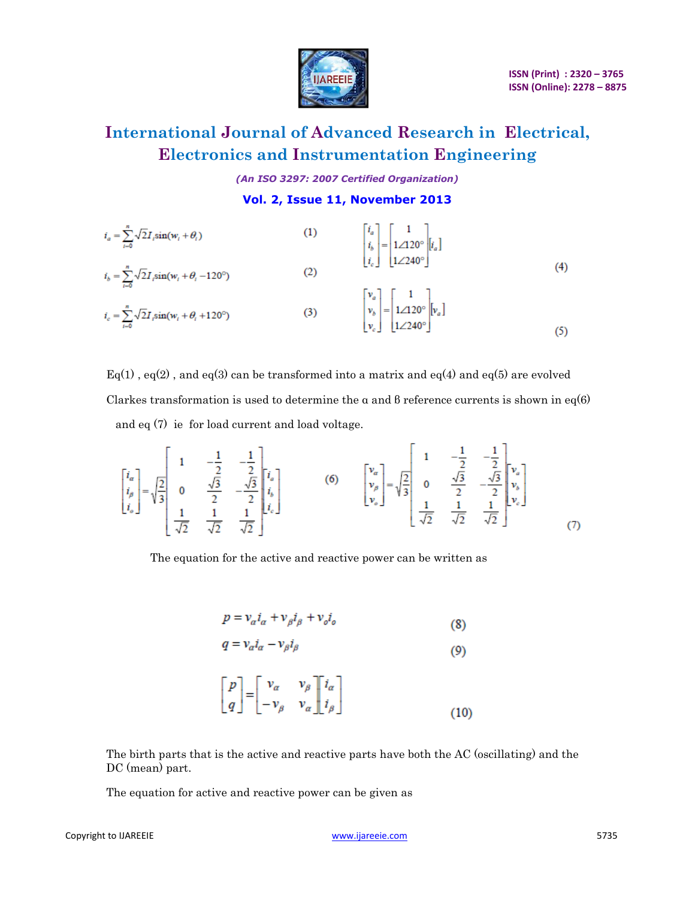

*(An ISO 3297: 2007 Certified Organization)* 

**Vol. 2, Issue 11, November 2013** 

$$
i_{a} = \sum_{i=0}^{n} \sqrt{2} I_{i} \sin(w_{i} + \theta_{i})
$$
\n(1)\n
$$
i_{b} = \sum_{i=0}^{n} \sqrt{2} I_{i} \sin(w_{i} + \theta_{i} - 120^{\circ})
$$
\n(2)\n
$$
i_{c} = \sum_{i=0}^{n} \sqrt{2} I_{i} \sin(w_{i} + \theta_{i} + 120^{\circ})
$$
\n(3)\n
$$
\begin{bmatrix}\n v_{a} \\
v_{b} \\
v_{c}\n\end{bmatrix} =\n\begin{bmatrix}\n 1 \\
1 \angle 120^{\circ} \\
1 \angle 240^{\circ}\n\end{bmatrix}\n\begin{bmatrix}\n v_{a} \\
v_{b} \\
1 \angle 240^{\circ}\n\end{bmatrix}\n\begin{bmatrix}\n v_{a} \\
v_{b} \\
1 \angle 240^{\circ}\n\end{bmatrix}\n\begin{bmatrix}\n 1 \\
v_{a}\n\end{bmatrix}
$$
\n(4)

 $Eq(1)$ ,  $eq(2)$ , and  $eq(3)$  can be transformed into a matrix and  $eq(4)$  and  $eq(5)$  are evolved Clarkes transformation is used to determine the  $\alpha$  and  $\beta$  reference currents is shown in eq(6) and eq (7) ie for load current and load voltage.

$$
\begin{bmatrix} i_a \\ i_b \\ i_b \end{bmatrix} = \sqrt{\frac{2}{3}} \begin{bmatrix} 1 & -\frac{1}{2} & -\frac{1}{2} \\ 0 & \frac{\sqrt{3}}{2} & -\frac{\sqrt{3}}{2} \\ \frac{1}{\sqrt{2}} & \frac{1}{\sqrt{2}} & \frac{1}{\sqrt{2}} \end{bmatrix} \begin{bmatrix} i_a \\ i_b \\ i_c \end{bmatrix}
$$
 (6) 
$$
\begin{bmatrix} v_a \\ v_b \\ v_b \end{bmatrix} = \sqrt{\frac{2}{3}} \begin{bmatrix} 1 & -\frac{1}{2} & -\frac{1}{2} \\ 0 & \frac{\sqrt{3}}{2} & -\frac{\sqrt{3}}{2} \\ \frac{1}{\sqrt{2}} & \frac{1}{\sqrt{2}} & \frac{1}{\sqrt{2}} \end{bmatrix} \begin{bmatrix} v_a \\ v_b \\ v_c \end{bmatrix}
$$
 (7)

The equation for the active and reactive power can be written as

$$
p = v_a i_a + v_\beta i_\beta + v_o i_o \tag{8}
$$

$$
q = v_a i_a - v_\beta i_\beta \tag{9}
$$

$$
\begin{bmatrix} p \\ q \end{bmatrix} = \begin{bmatrix} v_{\alpha} & v_{\beta} \\ -v_{\beta} & v_{\alpha} \end{bmatrix} \begin{bmatrix} i_{\alpha} \\ i_{\beta} \end{bmatrix}
$$
 (10)

The birth parts that is the active and reactive parts have both the AC (oscillating) and the DC (mean) part.

The equation for active and reactive power can be given as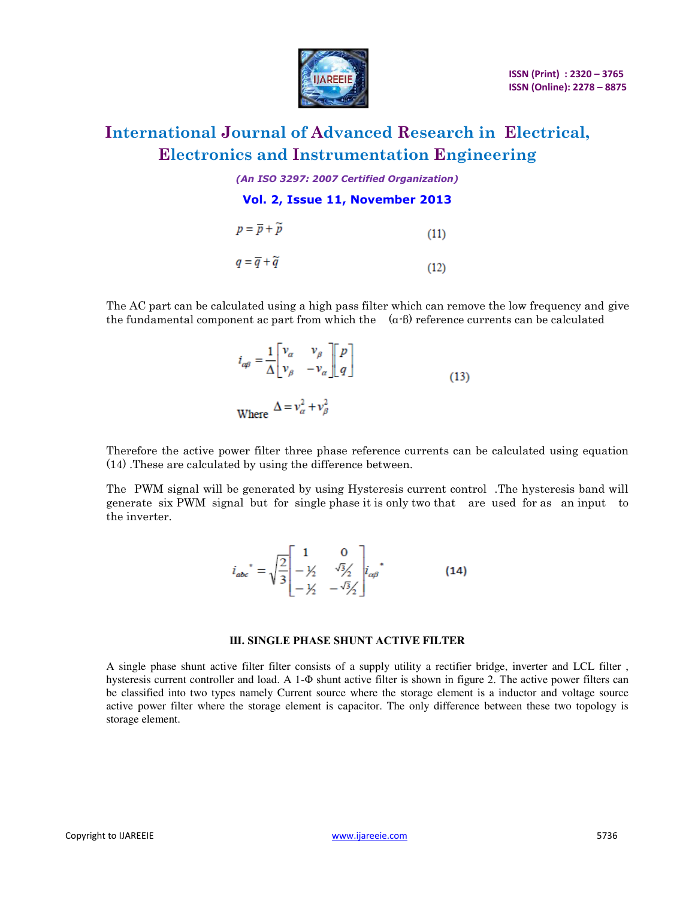

*(An ISO 3297: 2007 Certified Organization)* 

**Vol. 2, Issue 11, November 2013** 

| $p = \overline{p} + \widetilde{p}$ | (11) |
|------------------------------------|------|
| $q = \overline{q} + \widetilde{q}$ | (12) |

The AC part can be calculated using a high pass filter which can remove the low frequency and give the fundamental component ac part from which the  $(\alpha-\beta)$  reference currents can be calculated

$$
i_{\alpha\beta} = \frac{1}{\Delta} \begin{bmatrix} v_{\alpha} & v_{\beta} \\ v_{\beta} & -v_{\alpha} \end{bmatrix} \begin{bmatrix} p \\ q \end{bmatrix}
$$
  
Where 
$$
\Delta = v_{\alpha}^2 + v_{\beta}^2
$$
 (13)

Therefore the active power filter three phase reference currents can be calculated using equation (14) .These are calculated by using the difference between.

The PWM signal will be generated by using Hysteresis current control .The hysteresis band will generate six PWM signal but for single phase it is only two that are used for as an input to the inverter.

$$
i_{abc}^* = \sqrt{\frac{2}{3}} \begin{bmatrix} 1 & 0 \\ -\frac{1}{2} & \frac{\sqrt{3}}{2} \\ -\frac{1}{2} & -\frac{\sqrt{3}}{2} \end{bmatrix} i_{\alpha\beta}^* \tag{14}
$$

#### **Ш. SINGLE PHASE SHUNT ACTIVE FILTER**

A single phase shunt active filter filter consists of a supply utility a rectifier bridge, inverter and LCL filter , hysteresis current controller and load. A 1-Φ shunt active filter is shown in figure 2. The active power filters can be classified into two types namely Current source where the storage element is a inductor and voltage source active power filter where the storage element is capacitor. The only difference between these two topology is storage element.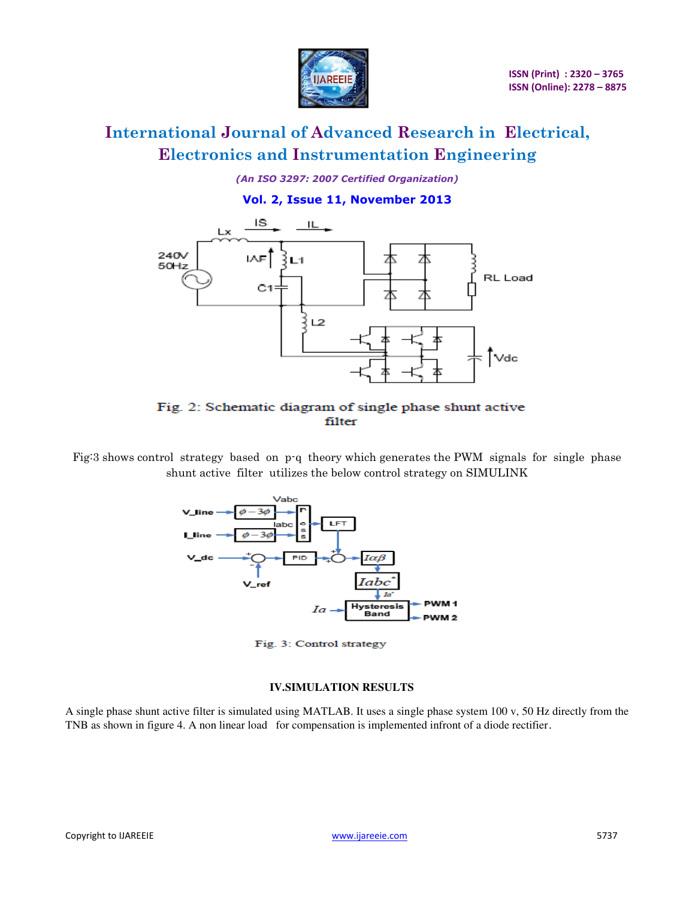

*(An ISO 3297: 2007 Certified Organization)* 

### **Vol. 2, Issue 11, November 2013**



### Fig. 2: Schematic diagram of single phase shunt active filter

Fig:3 shows control strategy based on p-q theory which generates the PWM signals for single phase shunt active filter utilizes the below control strategy on SIMULINK



Fig. 3: Control strategy

### **IV.SIMULATION RESULTS**

A single phase shunt active filter is simulated using MATLAB. It uses a single phase system 100 v, 50 Hz directly from the TNB as shown in figure 4. A non linear load for compensation is implemented infront of a diode rectifier.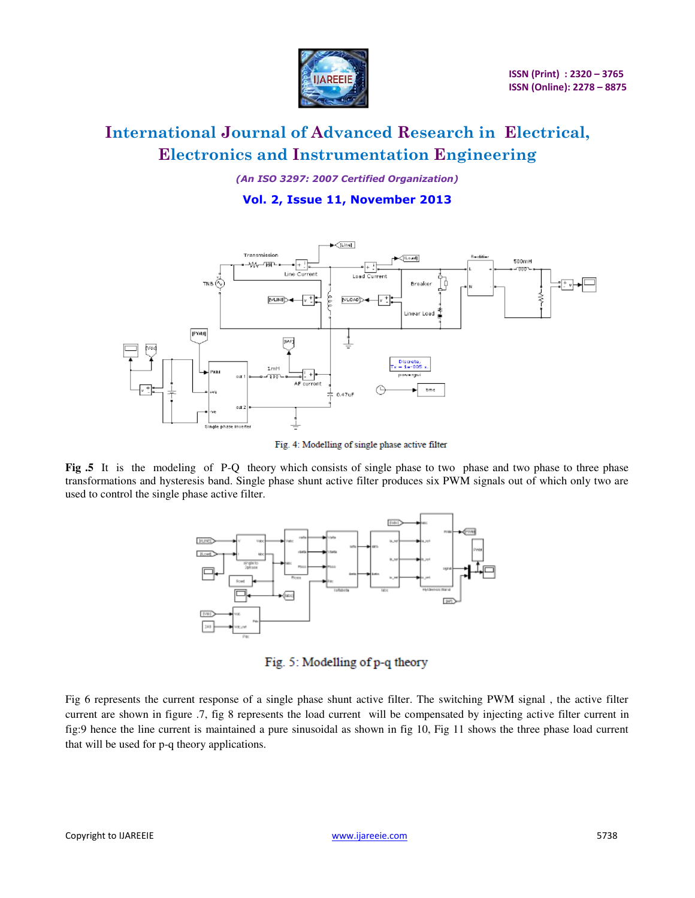

*(An ISO 3297: 2007 Certified Organization)* 

### **Vol. 2, Issue 11, November 2013**



Fig. 4: Modelling of single phase active filter

**Fig .5** It is the modeling of P-Q theory which consists of single phase to two phase and two phase to three phase transformations and hysteresis band. Single phase shunt active filter produces six PWM signals out of which only two are used to control the single phase active filter.



Fig. 5: Modelling of p-q theory

Fig 6 represents the current response of a single phase shunt active filter. The switching PWM signal , the active filter current are shown in figure .7, fig 8 represents the load current will be compensated by injecting active filter current in fig:9 hence the line current is maintained a pure sinusoidal as shown in fig 10, Fig 11 shows the three phase load current that will be used for p-q theory applications.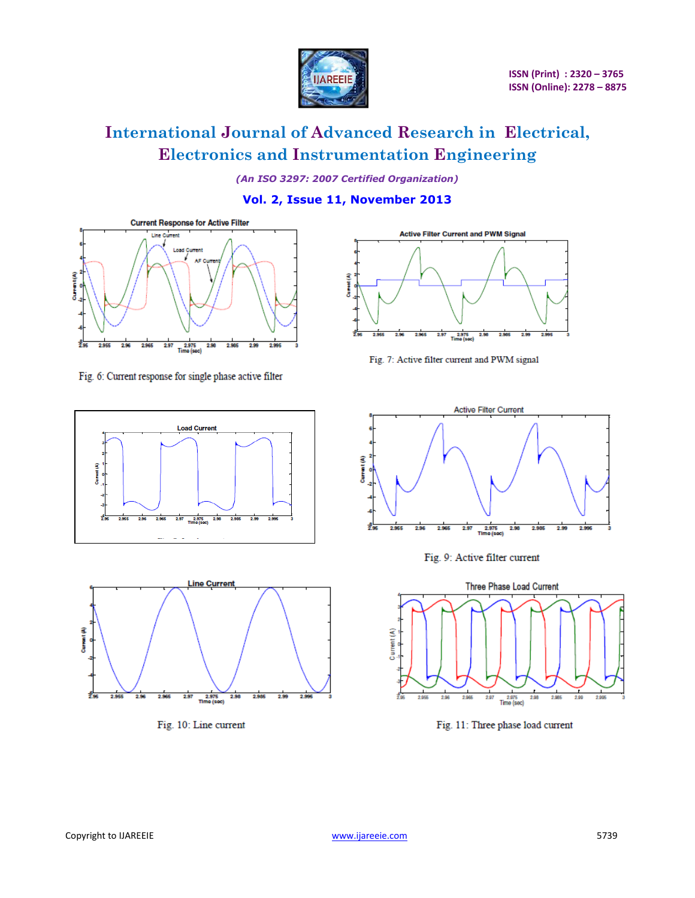

*(An ISO 3297: 2007 Certified Organization)* 

**Vol. 2, Issue 11, November 2013** 



Fig. 6: Current response for single phase active filter





Fig. 10: Line current



Fig. 7: Active filter current and PWM signal







Fig. 11: Three phase load current